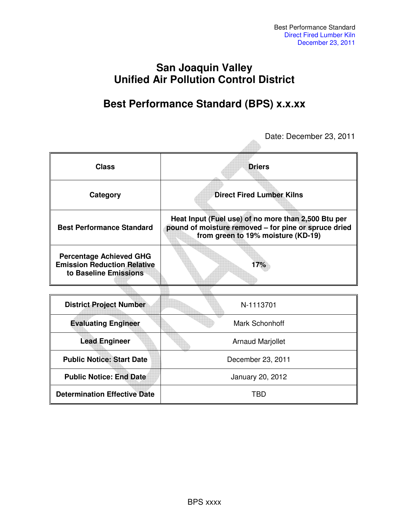## **San Joaquin Valley Unified Air Pollution Control District**

## **Best Performance Standard (BPS) x.x.xx**

 $\triangle$ 

Date: December 23, 2011

| <b>Class</b>                                                                                  | <b>Driers</b>                                                                                                                                     |  |
|-----------------------------------------------------------------------------------------------|---------------------------------------------------------------------------------------------------------------------------------------------------|--|
| Category                                                                                      | <b>Direct Fired Lumber Kilns</b>                                                                                                                  |  |
| <b>Best Performance Standard</b>                                                              | Heat Input (Fuel use) of no more than 2,500 Btu per<br>pound of moisture removed - for pine or spruce dried<br>from green to 19% moisture (KD-19) |  |
| <b>Percentage Achieved GHG</b><br><b>Emission Reduction Relative</b><br>to Baseline Emissions | 17%                                                                                                                                               |  |
|                                                                                               |                                                                                                                                                   |  |
| <b>District Project Number</b>                                                                | N-1113701                                                                                                                                         |  |
| <b>Evaluating Engineer</b>                                                                    | Mark Schonhoff                                                                                                                                    |  |
| <b>Lead Engineer</b>                                                                          | <b>Arnaud Marjollet</b>                                                                                                                           |  |
| <b>Public Notice: Start Date</b>                                                              | December 23, 2011                                                                                                                                 |  |
| <b>Public Notice: End Date</b>                                                                | January 20, 2012                                                                                                                                  |  |
| <b>Determination Effective Date</b>                                                           | TBD                                                                                                                                               |  |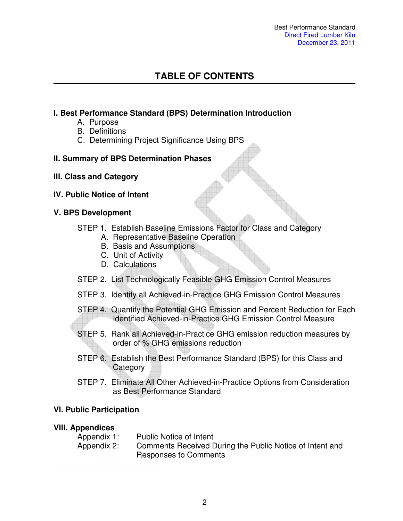## **TABLE OF CONTENTS**

#### **l. Best Performance Standard (BPS) Determination Introduction**

- A. Purpose
- B. Definitions
- C. Determining Project Significance Using BPS

#### **II. Summary of BPS Determination Phases**

- **lll. Class and Category**
- **lV. Public Notice of Intent**

#### **V. BPS Development**

- STEP 1. Establish Baseline Emissions Factor for Class and Category
	- A. Representative Baseline Operation
	- B. Basis and Assumptions
	- C. Unit of Activity
	- D. Calculations
- STEP 2. List Technologically Feasible GHG Emission Control Measures
- STEP 3. Identify all Achieved-in-Practice GHG Emission Control Measures
- STEP 4. Quantify the Potential GHG Emission and Percent Reduction for Each Identified Achieved-in-Practice GHG Emission Control Measure
- STEP 5. Rank all Achieved-in-Practice GHG emission reduction measures by order of % GHG emissions reduction
- STEP 6. Establish the Best Performance Standard (BPS) for this Class and **Category**
- STEP 7. Eliminate All Other Achieved-in-Practice Options from Consideration as Best Performance Standard

#### **Vl. Public Participation**

#### **Vlll. Appendices**

| Appendix 1: | <b>Public Notice of Intent</b>                           |
|-------------|----------------------------------------------------------|
| Appendix 2: | Comments Received During the Public Notice of Intent and |
|             | Responses to Comments                                    |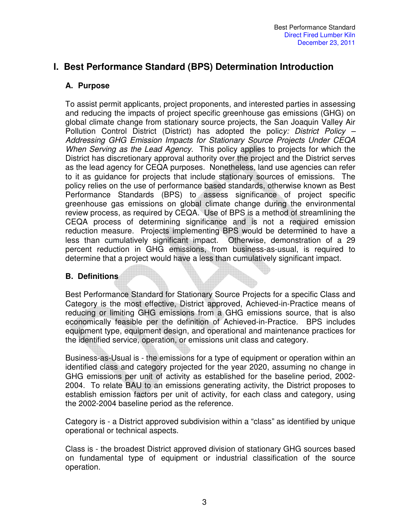## **I. Best Performance Standard (BPS) Determination Introduction**

#### **A. Purpose**

To assist permit applicants, project proponents, and interested parties in assessing and reducing the impacts of project specific greenhouse gas emissions (GHG) on global climate change from stationary source projects, the San Joaquin Valley Air Pollution Control District (District) has adopted the polic*y: District Policy – Addressing GHG Emission Impacts for Stationary Source Projects Under CEQA When Serving as the Lead Agency.* This policy applies to projects for which the District has discretionary approval authority over the project and the District serves as the lead agency for CEQA purposes. Nonetheless, land use agencies can refer to it as guidance for projects that include stationary sources of emissions. The policy relies on the use of performance based standards, otherwise known as Best Performance Standards (BPS) to assess significance of project specific greenhouse gas emissions on global climate change during the environmental review process, as required by CEQA. Use of BPS is a method of streamlining the CEQA process of determining significance and is not a required emission reduction measure. Projects implementing BPS would be determined to have a less than cumulatively significant impact. Otherwise, demonstration of a 29 percent reduction in GHG emissions, from business-as-usual, is required to determine that a project would have a less than cumulatively significant impact.

#### **B. Definitions**

Best Performance Standard for Stationary Source Projects for a specific Class and Category is the most effective, District approved, Achieved-in-Practice means of reducing or limiting GHG emissions from a GHG emissions source, that is also economically feasible per the definition of Achieved-in-Practice. BPS includes equipment type, equipment design, and operational and maintenance practices for the identified service, operation, or emissions unit class and category.

Business-as-Usual is - the emissions for a type of equipment or operation within an identified class and category projected for the year 2020, assuming no change in GHG emissions per unit of activity as established for the baseline period, 2002- 2004. To relate BAU to an emissions generating activity, the District proposes to establish emission factors per unit of activity, for each class and category, using the 2002-2004 baseline period as the reference.

Category is - a District approved subdivision within a "class" as identified by unique operational or technical aspects.

Class is - the broadest District approved division of stationary GHG sources based on fundamental type of equipment or industrial classification of the source operation.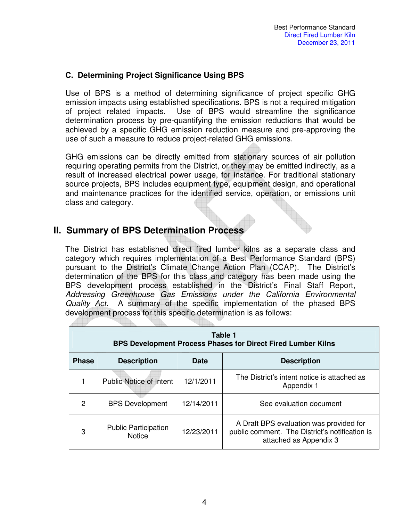#### **C. Determining Project Significance Using BPS**

Use of BPS is a method of determining significance of project specific GHG emission impacts using established specifications. BPS is not a required mitigation of project related impacts. Use of BPS would streamline the significance determination process by pre-quantifying the emission reductions that would be achieved by a specific GHG emission reduction measure and pre-approving the use of such a measure to reduce project-related GHG emissions.

GHG emissions can be directly emitted from stationary sources of air pollution requiring operating permits from the District, or they may be emitted indirectly, as a result of increased electrical power usage, for instance. For traditional stationary source projects, BPS includes equipment type, equipment design, and operational and maintenance practices for the identified service, operation, or emissions unit class and category.

## **II. Summary of BPS Determination Process**

The District has established direct fired lumber kilns as a separate class and category which requires implementation of a Best Performance Standard (BPS) pursuant to the District's Climate Change Action Plan (CCAP). The District's determination of the BPS for this class and category has been made using the BPS development process established in the District's Final Staff Report, *Addressing Greenhouse Gas Emissions under the California Environmental Quality Act.* A summary of the specific implementation of the phased BPS development process for this specific determination is as follows:

| Table 1<br><b>BPS Development Process Phases for Direct Fired Lumber Kilns</b> |                                              |             |                                                                                                                     |  |
|--------------------------------------------------------------------------------|----------------------------------------------|-------------|---------------------------------------------------------------------------------------------------------------------|--|
| <b>Phase</b>                                                                   | <b>Description</b>                           | <b>Date</b> | <b>Description</b>                                                                                                  |  |
|                                                                                | <b>Public Notice of Intent</b>               | 12/1/2011   | The District's intent notice is attached as<br>Appendix 1                                                           |  |
| 2                                                                              | <b>BPS Development</b>                       | 12/14/2011  | See evaluation document                                                                                             |  |
| 3                                                                              | <b>Public Participation</b><br><b>Notice</b> | 12/23/2011  | A Draft BPS evaluation was provided for<br>public comment. The District's notification is<br>attached as Appendix 3 |  |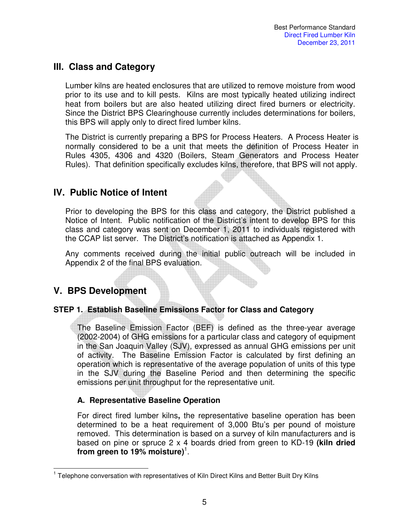## **III. Class and Category**

Lumber kilns are heated enclosures that are utilized to remove moisture from wood prior to its use and to kill pests. Kilns are most typically heated utilizing indirect heat from boilers but are also heated utilizing direct fired burners or electricity. Since the District BPS Clearinghouse currently includes determinations for boilers, this BPS will apply only to direct fired lumber kilns.

The District is currently preparing a BPS for Process Heaters. A Process Heater is normally considered to be a unit that meets the definition of Process Heater in Rules 4305, 4306 and 4320 (Boilers, Steam Generators and Process Heater Rules). That definition specifically excludes kilns, therefore, that BPS will not apply.

## **IV. Public Notice of Intent**

Prior to developing the BPS for this class and category, the District published a Notice of Intent. Public notification of the District's intent to develop BPS for this class and category was sent on December 1, 2011 to individuals registered with the CCAP list server. The District's notification is attached as Appendix 1.

Any comments received during the initial public outreach will be included in Appendix 2 of the final BPS evaluation.

## **V. BPS Development**

#### **STEP 1. Establish Baseline Emissions Factor for Class and Category**

The Baseline Emission Factor (BEF) is defined as the three-year average (2002-2004) of GHG emissions for a particular class and category of equipment in the San Joaquin Valley (SJV), expressed as annual GHG emissions per unit of activity. The Baseline Emission Factor is calculated by first defining an operation which is representative of the average population of units of this type in the SJV during the Baseline Period and then determining the specific emissions per unit throughput for the representative unit.

#### **A. Representative Baseline Operation**

For direct fired lumber kilns**,** the representative baseline operation has been determined to be a heat requirement of 3,000 Btu's per pound of moisture removed. This determination is based on a survey of kiln manufacturers and is based on pine or spruce 2 x 4 boards dried from green to KD-19 **(kiln dried from green to 19% moisture)**<sup>1</sup> .

 $\overline{\phantom{a}}$ <sup>1</sup> Telephone conversation with representatives of Kiln Direct Kilns and Better Built Dry Kilns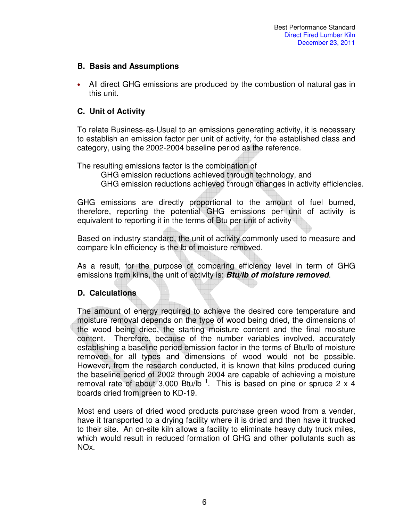#### **B. Basis and Assumptions**

• All direct GHG emissions are produced by the combustion of natural gas in this unit.

#### **C. Unit of Activity**

To relate Business-as-Usual to an emissions generating activity, it is necessary to establish an emission factor per unit of activity, for the established class and category, using the 2002-2004 baseline period as the reference.

The resulting emissions factor is the combination of

GHG emission reductions achieved through technology, and

GHG emission reductions achieved through changes in activity efficiencies.

GHG emissions are directly proportional to the amount of fuel burned, therefore, reporting the potential GHG emissions per unit of activity is equivalent to reporting it in the terms of Btu per unit of activity

Based on industry standard, the unit of activity commonly used to measure and compare kiln efficiency is the lb of moisture removed.

As a result, for the purpose of comparing efficiency level in term of GHG emissions from kilns, the unit of activity is: **Btu/lb of moisture removed**.

#### **D. Calculations**

The amount of energy required to achieve the desired core temperature and moisture removal depends on the type of wood being dried, the dimensions of the wood being dried, the starting moisture content and the final moisture content. Therefore, because of the number variables involved, accurately establishing a baseline period emission factor in the terms of Btu/lb of moisture removed for all types and dimensions of wood would not be possible. However, from the research conducted, it is known that kilns produced during the baseline period of 2002 through 2004 are capable of achieving a moisture removal rate of about 3,000 Btu/lb<sup>1</sup>. This is based on pine or spruce 2 x 4 boards dried from green to KD-19.

Most end users of dried wood products purchase green wood from a vender, have it transported to a drying facility where it is dried and then have it trucked to their site. An on-site kiln allows a facility to eliminate heavy duty truck miles, which would result in reduced formation of GHG and other pollutants such as NOx.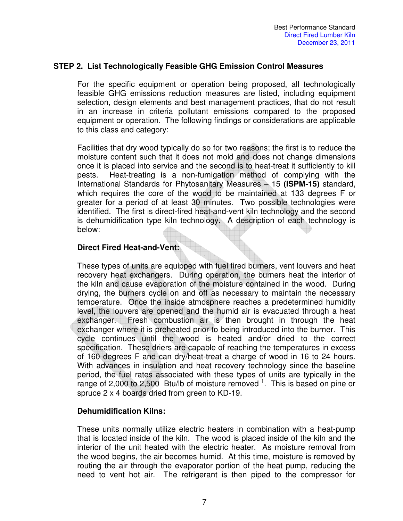#### **STEP 2. List Technologically Feasible GHG Emission Control Measures**

For the specific equipment or operation being proposed, all technologically feasible GHG emissions reduction measures are listed, including equipment selection, design elements and best management practices, that do not result in an increase in criteria pollutant emissions compared to the proposed equipment or operation. The following findings or considerations are applicable to this class and category:

Facilities that dry wood typically do so for two reasons; the first is to reduce the moisture content such that it does not mold and does not change dimensions once it is placed into service and the second is to heat-treat it sufficiently to kill pests. Heat-treating is a non-fumigation method of complying with the International Standards for Phytosanitary Measures – 15 **(ISPM-15)** standard, which requires the core of the wood to be maintained at 133 degrees F or greater for a period of at least 30 minutes. Two possible technologies were identified. The first is direct-fired heat-and-vent kiln technology and the second is dehumidification type kiln technology. A description of each technology is below:

#### **Direct Fired Heat-and-Vent:**

These types of units are equipped with fuel fired burners, vent louvers and heat recovery heat exchangers. During operation, the burners heat the interior of the kiln and cause evaporation of the moisture contained in the wood. During drying, the burners cycle on and off as necessary to maintain the necessary temperature. Once the inside atmosphere reaches a predetermined humidity level, the louvers are opened and the humid air is evacuated through a heat exchanger. Fresh combustion air is then brought in through the heat exchanger where it is preheated prior to being introduced into the burner. This cycle continues until the wood is heated and/or dried to the correct specification. These driers are capable of reaching the temperatures in excess of 160 degrees F and can dry/heat-treat a charge of wood in 16 to 24 hours. With advances in insulation and heat recovery technology since the baseline period, the fuel rates associated with these types of units are typically in the range of 2,000 to 2,500 Btu/lb of moisture removed  $1$ . This is based on pine or spruce 2 x 4 boards dried from green to KD-19.

#### **Dehumidification Kilns:**

These units normally utilize electric heaters in combination with a heat-pump that is located inside of the kiln. The wood is placed inside of the kiln and the interior of the unit heated with the electric heater. As moisture removal from the wood begins, the air becomes humid. At this time, moisture is removed by routing the air through the evaporator portion of the heat pump, reducing the need to vent hot air. The refrigerant is then piped to the compressor for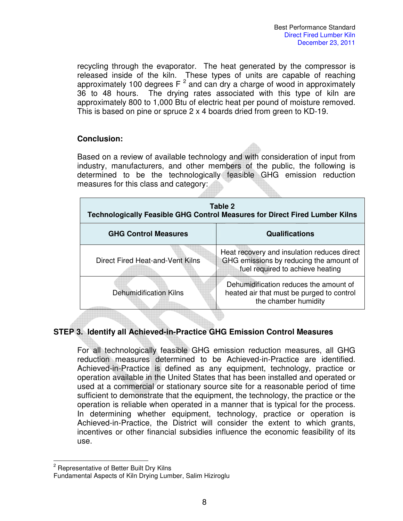recycling through the evaporator. The heat generated by the compressor is released inside of the kiln. These types of units are capable of reaching approximately 100 degrees  $F^2$  and can dry a charge of wood in approximately 36 to 48 hours. The drying rates associated with this type of kiln are approximately 800 to 1,000 Btu of electric heat per pound of moisture removed. This is based on pine or spruce 2 x 4 boards dried from green to KD-19.

#### **Conclusion:**

Based on a review of available technology and with consideration of input from industry, manufacturers, and other members of the public, the following is determined to be the technologically feasible GHG emission reduction measures for this class and category:

| Table 2<br>Technologically Feasible GHG Control Measures for Direct Fired Lumber Kilns |                                                                                                                            |  |
|----------------------------------------------------------------------------------------|----------------------------------------------------------------------------------------------------------------------------|--|
| <b>GHG Control Measures</b>                                                            | <b>Qualifications</b>                                                                                                      |  |
| Direct Fired Heat-and-Vent Kilns                                                       | Heat recovery and insulation reduces direct<br>GHG emissions by reducing the amount of<br>fuel required to achieve heating |  |
| <b>Dehumidification Kilns</b>                                                          | Dehumidification reduces the amount of<br>heated air that must be purged to control<br>the chamber humidity                |  |
|                                                                                        |                                                                                                                            |  |

#### **STEP 3. Identify all Achieved-in-Practice GHG Emission Control Measures**

For all technologically feasible GHG emission reduction measures, all GHG reduction measures determined to be Achieved-in-Practice are identified. Achieved-in-Practice is defined as any equipment, technology, practice or operation available in the United States that has been installed and operated or used at a commercial or stationary source site for a reasonable period of time sufficient to demonstrate that the equipment, the technology, the practice or the operation is reliable when operated in a manner that is typical for the process. In determining whether equipment, technology, practice or operation is Achieved-in-Practice, the District will consider the extent to which grants, incentives or other financial subsidies influence the economic feasibility of its use.

 $\overline{a}$ <sup>2</sup> Representative of Better Built Dry Kilns

Fundamental Aspects of Kiln Drying Lumber, Salim Hiziroglu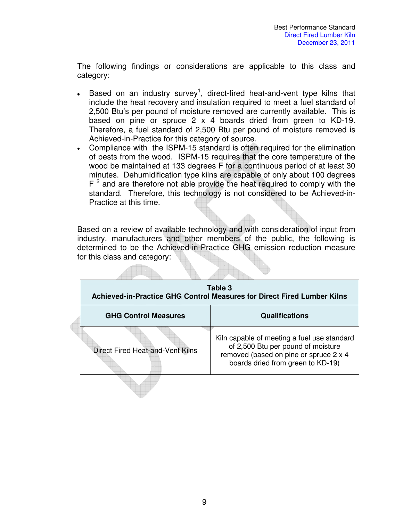The following findings or considerations are applicable to this class and category:

- Based on an industry survey<sup>1</sup>, direct-fired heat-and-vent type kilns that include the heat recovery and insulation required to meet a fuel standard of 2,500 Btu's per pound of moisture removed are currently available. This is based on pine or spruce 2 x 4 boards dried from green to KD-19. Therefore, a fuel standard of 2,500 Btu per pound of moisture removed is Achieved-in-Practice for this category of source.
- Compliance with the ISPM-15 standard is often required for the elimination of pests from the wood. ISPM-15 requires that the core temperature of the wood be maintained at 133 degrees F for a continuous period of at least 30 minutes. Dehumidification type kilns are capable of only about 100 degrees  $F<sup>2</sup>$  and are therefore not able provide the heat required to comply with the standard. Therefore, this technology is not considered to be Achieved-in-Practice at this time.

Based on a review of available technology and with consideration of input from industry, manufacturers and other members of the public, the following is determined to be the Achieved-in-Practice GHG emission reduction measure for this class and category:

**Alling** 

|                                  | Table 3<br>Achieved-in-Practice GHG Control Measures for Direct Fired Lumber Kilns                                                                               |
|----------------------------------|------------------------------------------------------------------------------------------------------------------------------------------------------------------|
| <b>GHG Control Measures</b>      | <b>Qualifications</b>                                                                                                                                            |
| Direct Fired Heat-and-Vent Kilns | Kiln capable of meeting a fuel use standard<br>of 2,500 Btu per pound of moisture<br>removed (based on pine or spruce 2 x 4<br>boards dried from green to KD-19) |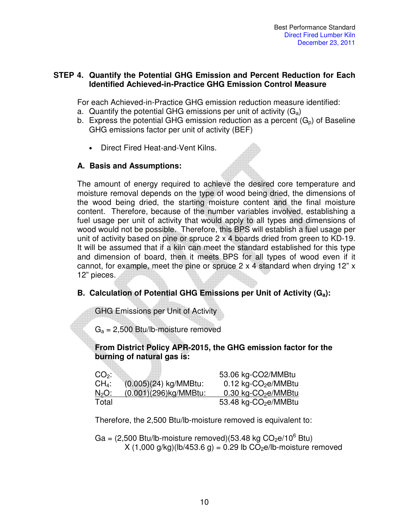#### **STEP 4. Quantify the Potential GHG Emission and Percent Reduction for Each Identified Achieved-in-Practice GHG Emission Control Measure**

For each Achieved-in-Practice GHG emission reduction measure identified:

- a. Quantify the potential GHG emissions per unit of activity  $(G_a)$
- b. Express the potential GHG emission reduction as a percent  $(G_n)$  of Baseline GHG emissions factor per unit of activity (BEF)
	- Direct Fired Heat-and-Vent Kilns.

#### **A. Basis and Assumptions:**

The amount of energy required to achieve the desired core temperature and moisture removal depends on the type of wood being dried, the dimensions of the wood being dried, the starting moisture content and the final moisture content. Therefore, because of the number variables involved, establishing a fuel usage per unit of activity that would apply to all types and dimensions of wood would not be possible. Therefore, this BPS will establish a fuel usage per unit of activity based on pine or spruce 2 x 4 boards dried from green to KD-19. It will be assumed that if a kiln can meet the standard established for this type and dimension of board, then it meets BPS for all types of wood even if it cannot, for example, meet the pine or spruce  $2 \times 4$  standard when drying 12" x 12" pieces.

#### **B. Calculation of Potential GHG Emissions per Unit of Activity (Ga):**

GHG Emissions per Unit of Activity

lik.

 $G_a = 2,500$  Btu/lb-moisture removed

#### **From District Policy APR-2015, the GHG emission factor for the burning of natural gas is:**

| $CO2$ :                |                          | 53.06 kg-CO2/MMBtu                 |
|------------------------|--------------------------|------------------------------------|
| $CH_4$ :               | $(0.005)(24)$ kg/MMBtu:  | $0.12$ kg-CO <sub>2</sub> e/MMBtu  |
| <u>N<sub>2</sub>O:</u> | $(0.001)(296)$ kg/MMBtu: | 0.30 kg-CO <sub>2</sub> e/MMBtu    |
| Total                  |                          | $53.48$ kg-CO <sub>2</sub> e/MMBtu |

Therefore, the 2,500 Btu/lb-moisture removed is equivalent to:

Ga =  $(2,500 \text{ Btu/lb-moisture removed})(53.48 \text{ kg CO}_2\text{e}/10^6 \text{ Btu})$  $X(1,000)$  g/kg $(1b/453.6)$  = 0.29 lb CO<sub>2</sub>e/lb-moisture removed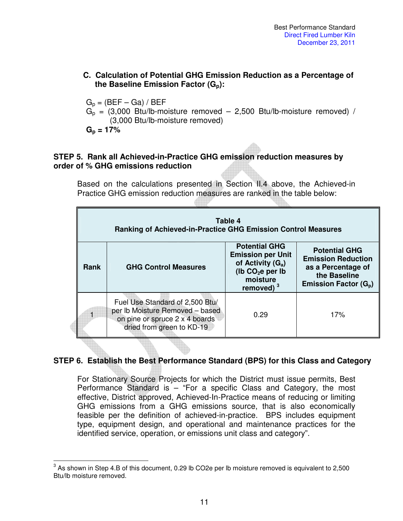#### **C. Calculation of Potential GHG Emission Reduction as a Percentage of the Baseline Emission Factor (Gp):**

 $G_p = (BEF - Ga) / BEF$  $G<sub>p</sub> = (3,000 \text{ Btu/lb-moisture removed} - 2,500 \text{ Btu/lb-moisture removed})$ (3,000 Btu/lb-moisture removed)  $G_p = 17\%$ 

#### **STEP 5. Rank all Achieved-in-Practice GHG emission reduction measures by order of % GHG emissions reduction**

Based on the calculations presented in Section II.4 above, the Achieved-in Practice GHG emission reduction measures are ranked in the table below:

| Table 4<br><b>Ranking of Achieved-in-Practice GHG Emission Control Measures</b> |                                                                                                                                   |                                                                                                                          |                                                                                                                                        |
|---------------------------------------------------------------------------------|-----------------------------------------------------------------------------------------------------------------------------------|--------------------------------------------------------------------------------------------------------------------------|----------------------------------------------------------------------------------------------------------------------------------------|
| <b>GHG Control Measures</b><br>Rank                                             |                                                                                                                                   | <b>Potential GHG</b><br><b>Emission per Unit</b><br>of Activity $(G_a)$<br>(lb $CO2e$ per lb<br>moisture<br>removed) $3$ | <b>Potential GHG</b><br><b>Emission Reduction</b><br>as a Percentage of<br>the Baseline<br><b>Emission Factor <math>(G_{p})</math></b> |
|                                                                                 | Fuel Use Standard of 2,500 Btu/<br>per Ib Moisture Removed - based<br>on pine or spruce 2 x 4 boards<br>dried from green to KD-19 | 0.29                                                                                                                     | 17%                                                                                                                                    |

#### **STEP 6. Establish the Best Performance Standard (BPS) for this Class and Category**

For Stationary Source Projects for which the District must issue permits, Best Performance Standard is – "For a specific Class and Category, the most effective, District approved, Achieved-In-Practice means of reducing or limiting GHG emissions from a GHG emissions source, that is also economically feasible per the definition of achieved-in-practice. BPS includes equipment type, equipment design, and operational and maintenance practices for the identified service, operation, or emissions unit class and category".

 3 As shown in Step 4.B of this document, 0.29 lb CO2e per lb moisture removed is equivalent to 2,500 Btu/lb moisture removed.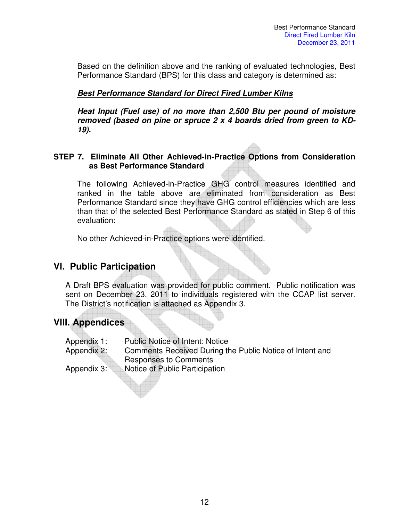Based on the definition above and the ranking of evaluated technologies, Best Performance Standard (BPS) for this class and category is determined as:

#### **Best Performance Standard for Direct Fired Lumber Kilns**

**Heat Input (Fuel use) of no more than 2,500 Btu per pound of moisture removed (based on pine or spruce 2 x 4 boards dried from green to KD-19).** 

#### **STEP 7. Eliminate All Other Achieved-in-Practice Options from Consideration as Best Performance Standard**

The following Achieved-in-Practice GHG control measures identified and ranked in the table above are eliminated from consideration as Best Performance Standard since they have GHG control efficiencies which are less than that of the selected Best Performance Standard as stated in Step 6 of this evaluation:

No other Achieved-in-Practice options were identified.

## **Vl. Public Participation**

A Draft BPS evaluation was provided for public comment. Public notification was sent on December 23, 2011 to individuals registered with the CCAP list server. The District's notification is attached as Appendix 3.

## **Vlll. Appendices**

| Appendix 1: | <b>Public Notice of Intent: Notice</b>                   |
|-------------|----------------------------------------------------------|
| Appendix 2: | Comments Received During the Public Notice of Intent and |
|             | <b>Responses to Comments</b>                             |
| Appendix 3: | Notice of Public Participation                           |
|             |                                                          |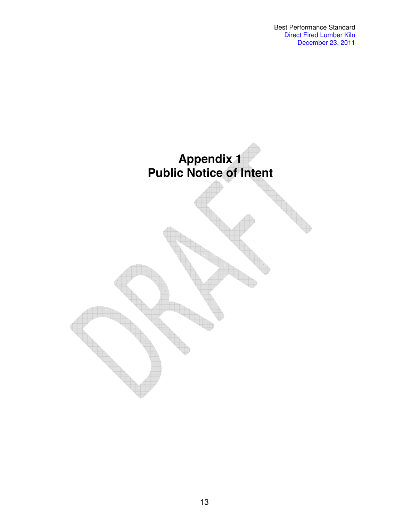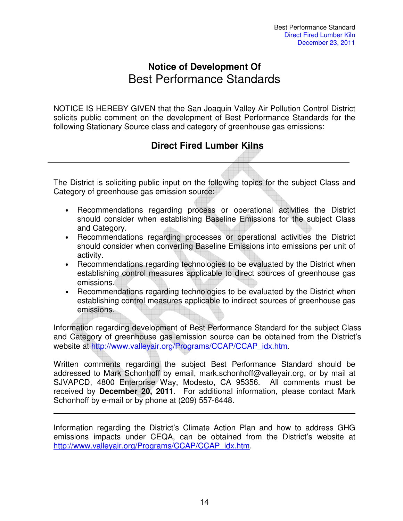## **Notice of Development Of**  Best Performance Standards

NOTICE IS HEREBY GIVEN that the San Joaquin Valley Air Pollution Control District solicits public comment on the development of Best Performance Standards for the following Stationary Source class and category of greenhouse gas emissions:

## **Direct Fired Lumber Kilns**

The District is soliciting public input on the following topics for the subject Class and Category of greenhouse gas emission source:

- Recommendations regarding process or operational activities the District should consider when establishing Baseline Emissions for the subject Class and Category.
- Recommendations regarding processes or operational activities the District should consider when converting Baseline Emissions into emissions per unit of activity.
- Recommendations regarding technologies to be evaluated by the District when establishing control measures applicable to direct sources of greenhouse gas emissions.
- Recommendations regarding technologies to be evaluated by the District when establishing control measures applicable to indirect sources of greenhouse gas emissions.

Information regarding development of Best Performance Standard for the subject Class and Category of greenhouse gas emission source can be obtained from the District's website at http://www.valleyair.org/Programs/CCAP/CCAP\_idx.htm.

Written comments regarding the subject Best Performance Standard should be addressed to Mark Schonhoff by email, mark.schonhoff@valleyair.org, or by mail at SJVAPCD, 4800 Enterprise Way, Modesto, CA 95356. All comments must be received by **December 20, 2011**. For additional information, please contact Mark Schonhoff by e-mail or by phone at (209) 557-6448.

Information regarding the District's Climate Action Plan and how to address GHG emissions impacts under CEQA, can be obtained from the District's website at http://www.valleyair.org/Programs/CCAP/CCAP\_idx.htm.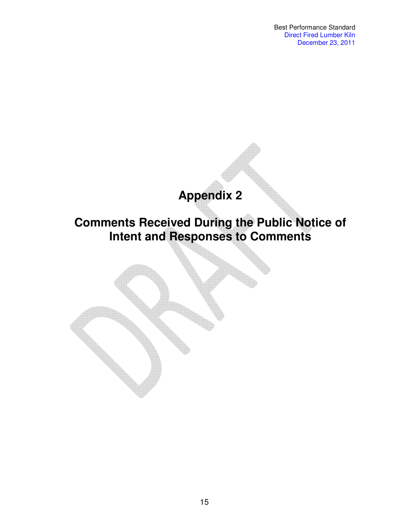Best Performance Standard Direct Fired Lumber Kiln December 23, 2011

# **Appendix 2**

# **Comments Received During the Public Notice of Intent and Responses to Comments**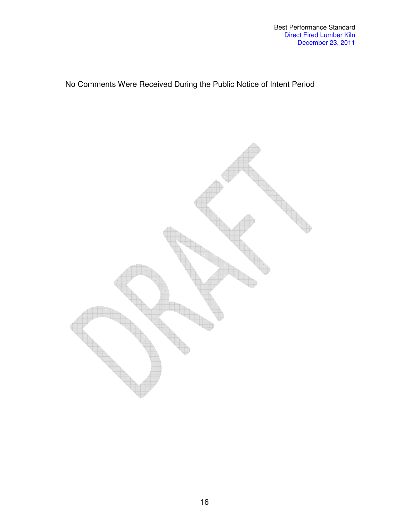## No Comments Were Received During the Public Notice of Intent Period

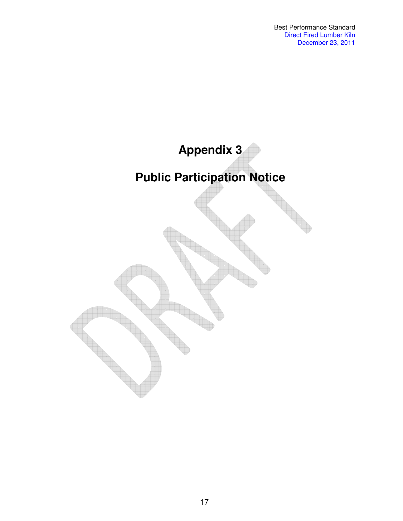# **Appendix 3 Public Participation Notice**